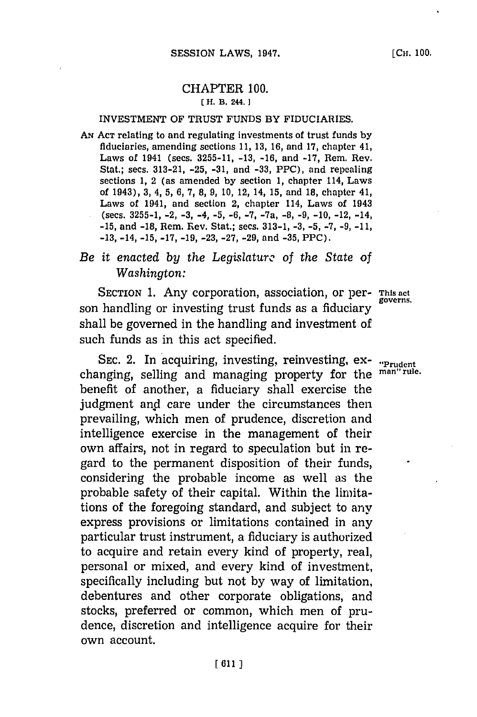## CHAPTER **100. ( H. B. 244.]1**

### **INVESTMENT** OF TRUST **FUNDS** BY **FIDUCIARIES.**

**AN ACT** relating to and regulating investments of trust funds **by** fiduciaries, amending sections **11, 13, 16,** and **17,** chapter 41, Laws of 1941 (sees. **3255-11, -13, -16,** and **-17,** Rem. Rev. Stat.; secs. **313-21, -25, -31,** and **-33,** PPC), and repealing sections **1,** 2 (as amended **by** section **1,** chapter 114, Laws of 1943), **3,** 4, **5, 6, 7, 8, 9, 10,** 12, 14, **15,** and **18,** chapter 41, Laws of 1941, and section 2, chapter 114, Laws of 1943 (sees. **3255-1,** -2, **-3,** -4, **-5, -6, -7,** -7a, **-8, -9, -10,** -12, -14, **-15,** and **-18,** Rem. Rev. Stat.; sees. **313-1, -3, -5, -7, -9, -11, -13,** -14, **-15, -17, -19, -23, -27, -29,** and **-35,** PPC).

# *Be it enacted by the Legislature of the State of Washington:*

SECTION 1. Any corporation, association, or per- This act son handling or investing trust funds as a fiduciary shall be governed in the handling and investment of such funds as in this act specified.

SEC. 2. In acquiring, investing, reinvesting, ex-<br>inging, selling and managing property for the <sup>man"rule.</sup> changing, selling and managing property for the benefit of another, a fiduciary shall exercise the judgment and care under the circumstances then prevailing, which men of prudence, discretion and intelligence exercise in the management of their own affairs, not in regard to speculation but in regard to the permanent disposition of their funds, considering the probable income as well as the probable safety of their capital. Within the limitations of the foregoing standard, and subject to any express provisions or limitations contained in any particular trust instrument, a fiduciary is authorized to acquire and retain every kind of property, real, personal or mixed, and every kind of investment, specifically including but not **by** way of limitation, debentures and other corporate obligations, and stocks, preferred or common, which men of prudence, discretion and intelligence acquire for their own account.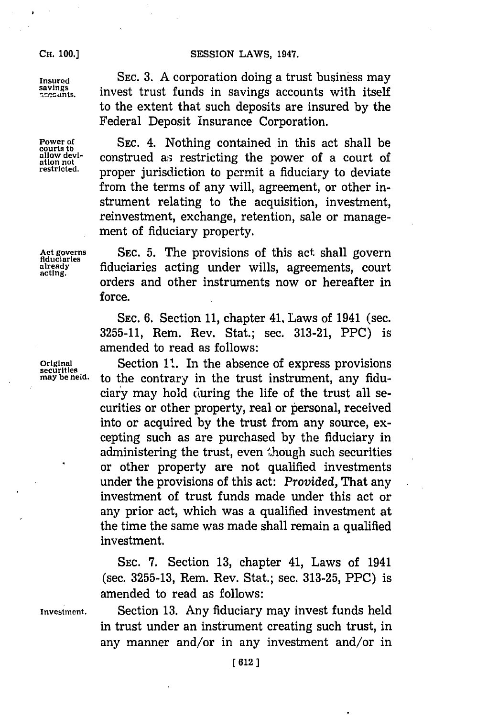### **CH. 00.3SESSION** LAWS, 1947.

**CH. 100.1**

**Insured** SEC. **3. A** corporation doing a trust business may  $S_{\text{accunts}}^{\text{surings}}$  invest trust funds in savings accounts with itself to the extent that such deposits are insured **by** the Federal Deposit insurance Corporation.

**Power of SEC. 4.** Nothing contained in this act shall be allow devi-<br> **construed** as restricting the power of a court of allow devi-<br>ation not construed as restricting the power of a court of<br>restricted. **proper jurisdiction** to pormit a fiduciant to dovinto proper jurisdiction to permit a fiduciary to deviate from the terms of any will, agreement, or other instrument relating to the acquisition, investment, reinvestment, exchange, retention, sale or management of fiduciary property.

**Act governs** SEC. **5.** The provisions of this act shall govern **fiduciaries** already fiduciaries acting under wills, agreements, court orders and other instruments now or hereafter in force.

> SEC. **6.** Section **11,** chapter 41, Laws of 1941 (sec. **3255-11,** Rem. Rev. Stat.; sec. **313-21,** PPC) is amended to read as follows:

**Original** Section **it.** In the absence of express provisions may be heid. to the contrary in the trust instrument, any fiduciary may hold during the life of the trust all securities or other property, real or personal, received into or acquired **by** the trust from any source, excepting such as are purchased **by** the fiduciary in administering the trust, even though such securities or other property are not qualified investments under the provisions of this act: *Provided,* That any investment of trust funds made under this act or any prior act, which was a qualified investment at the time the same was made shall remain a qualified investment.

> **SEC. 7.** Section **13,** chapter 41, Laws of 1941 (sec. **3255-13,** Rem. Rev. Stat.; sec. **313-25,** PPC) is amended to read as follows:

**Investment.** Section **13.** Any fiduciary may invest funds held in trust under an instrument creating such trust, in any manner and/or in any investment and/or in